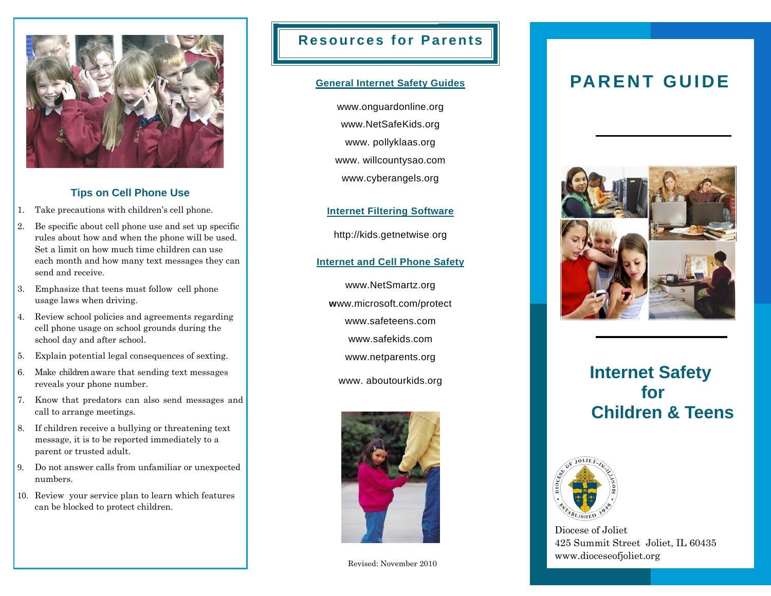

### **Tips on Cell Phone Use**

- 1. Take precautions with children's cell phone.
- 2. Be specific about cell phone use and set up specific rules about how and when the phone will be used. Set a limit on how much time children can use each month and how many text messages they can send and receive.
- 3. Emphasize that teens must follow cell phone usage laws when driving.
- 4. Review school policies and agreements regarding cell phone usage on school grounds during the school day and after school.
- 5. Explain potential legal consequences of sexting.
- 6. Make children aware that sending text messages reveals your phone number.
- 7. Know that predators can also send messages and call to arrange meetings.
- 8. If children receive a bullying or threatening text message, it is to be reported immediately to a parent or trusted adult.
- 9. Do not answer calls from unfamiliar or unexpected numbers.
- 10. Review your service plan to learn which features can be blocked to protect children.

## **Resources for Parents**

#### **General Internet Safety Guides**

www.onguardonline.org www.NetSafeKids.org www. pollyklaas.org www. willcountysao.com www.cyberangels.org

**Internet Filtering Software**

http://kids.getnetwise.org

#### **Internet and Cell Phone Safety**

www.NetSmartz.org **<sup>w</sup>**ww.microsoft.com/protect www.safeteens.com www.safekids.com www.netparents.org

www. aboutourkids.org



# **PARENT GUIDE**



# **Internet Safety for Children & Teens**



Diocese of Joliet 425 Summit Street Joliet, IL 60435 www.dioceseofjoliet.org Revised: November 2010